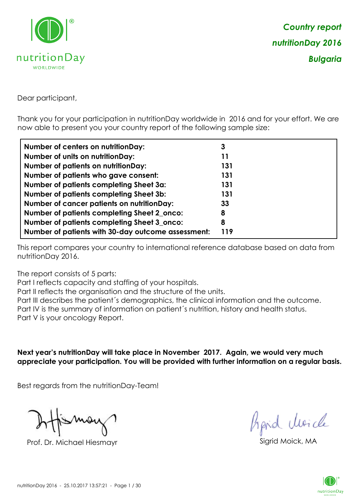

Dear participant,

Thank you for your participation in nutritionDay worldwide in 2016 and for your effort. We are now able to present you your country report of the following sample size:

| <b>Number of centers on nutritionDay:</b>          | 3   |
|----------------------------------------------------|-----|
| <b>Number of units on nutritionDay:</b>            | 11  |
| <b>Number of patients on nutritionDay:</b>         | 131 |
| Number of patients who gave consent:               | 131 |
| Number of patients completing Sheet 3a:            | 131 |
| <b>Number of patients completing Sheet 3b:</b>     | 131 |
| <b>Number of cancer patients on nutritionDay:</b>  | 33  |
| Number of patients completing Sheet 2_onco:        | 8   |
| Number of patients completing Sheet 3_onco:        | 8   |
| Number of patients with 30-day outcome assessment: | 119 |

This report compares your country to international reference database based on data from nutritionDay 2016.

The report consists of 5 parts:

Part I reflects capacity and staffing of your hospitals.

Part II reflects the organisation and the structure of the units.

Part III describes the patient´s demographics, the clinical information and the outcome.

Part IV is the summary of information on patient´s nutrition, history and health status.

Part V is your oncology Report.

**Next year's nutritionDay will take place in November 2017. Again, we would very much appreciate your participation. You will be provided with further information on a regular basis.**

Best regards from the nutritionDay-Team!

Prof. Dr. Michael Hiesmayr Sigrid Moick, MA

*Prpid cleacle* 

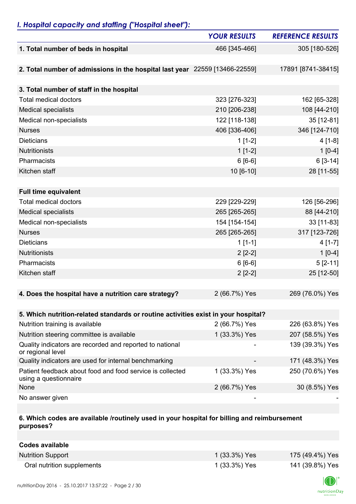# *I. Hospital capacity and staffing ("Hospital sheet"):*

|                                                                                    | <b>YOUR RESULTS</b> | <b>REFERENCE RESULTS</b> |
|------------------------------------------------------------------------------------|---------------------|--------------------------|
| 1. Total number of beds in hospital                                                | 466 [345-466]       | 305 [180-526]            |
|                                                                                    |                     |                          |
| 2. Total number of admissions in the hospital last year 22559 [13466-22559]        |                     | 17891 [8741-38415]       |
|                                                                                    |                     |                          |
| 3. Total number of staff in the hospital                                           |                     |                          |
| <b>Total medical doctors</b>                                                       | 323 [276-323]       | 162 [65-328]             |
| <b>Medical specialists</b>                                                         | 210 [206-238]       | 108 [44-210]             |
| Medical non-specialists                                                            | 122 [118-138]       | 35 [12-81]               |
| <b>Nurses</b>                                                                      | 406 [336-406]       | 346 [124-710]            |
| <b>Dieticians</b>                                                                  | $1[1-2]$            | $4[1-8]$                 |
| <b>Nutritionists</b>                                                               | $1[1-2]$            | $1[0-4]$                 |
| Pharmacists                                                                        | $6[6-6]$            | $6[3-14]$                |
| Kitchen staff                                                                      | 10 [6-10]           | 28 [11-55]               |
|                                                                                    |                     |                          |
| <b>Full time equivalent</b>                                                        |                     |                          |
| <b>Total medical doctors</b>                                                       | 229 [229-229]       | 126 [56-296]             |
| <b>Medical specialists</b>                                                         | 265 [265-265]       | 88 [44-210]              |
| Medical non-specialists                                                            | 154 [154-154]       | 33 [11-83]               |
| <b>Nurses</b>                                                                      | 265 [265-265]       | 317 [123-726]            |
| <b>Dieticians</b>                                                                  | $1[1-1]$            | $4[1-7]$                 |
| <b>Nutritionists</b>                                                               | $2[2-2]$            | $1[0-4]$                 |
| Pharmacists                                                                        | $6[6-6]$            | $5 [2 - 11]$             |
| Kitchen staff                                                                      | $2[2-2]$            | 25 [12-50]               |
|                                                                                    |                     |                          |
| 4. Does the hospital have a nutrition care strategy?                               | 2 (66.7%) Yes       | 269 (76.0%) Yes          |
|                                                                                    |                     |                          |
| 5. Which nutrition-related standards or routine activities exist in your hospital? |                     |                          |
| Nutrition training is available                                                    | 2 (66.7%) Yes       | 226 (63.8%) Yes          |
| Nutrition steering committee is available                                          | 1 (33.3%) Yes       | 207 (58.5%) Yes          |
| Quality indicators are recorded and reported to national<br>or regional level      |                     | 139 (39.3%) Yes          |
| Quality indicators are used for internal benchmarking                              |                     | 171 (48.3%) Yes          |
| Patient feedback about food and food service is collected<br>using a questionnaire | 1 (33.3%) Yes       | 250 (70.6%) Yes          |
| None                                                                               | 2 (66.7%) Yes       | 30 (8.5%) Yes            |
| No answer given                                                                    |                     |                          |

### **6. Which codes are available /routinely used in your hospital for billing and reimbursement purposes?**

| Codes available            |               |                 |
|----------------------------|---------------|-----------------|
| <b>Nutrition Support</b>   | 1 (33.3%) Yes | 175 (49.4%) Yes |
| Oral nutrition supplements | 1 (33.3%) Yes | 141 (39.8%) Yes |

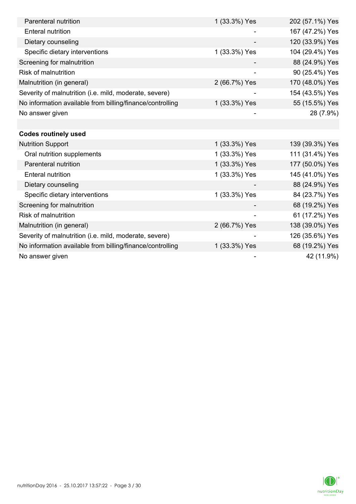| Parenteral nutrition                                      | 1 (33.3%) Yes | 202 (57.1%) Yes |
|-----------------------------------------------------------|---------------|-----------------|
| <b>Enteral nutrition</b>                                  |               | 167 (47.2%) Yes |
| Dietary counseling                                        |               | 120 (33.9%) Yes |
| Specific dietary interventions                            | 1 (33.3%) Yes | 104 (29.4%) Yes |
| Screening for malnutrition                                |               | 88 (24.9%) Yes  |
| <b>Risk of malnutrition</b>                               |               | 90 (25.4%) Yes  |
| Malnutrition (in general)                                 | 2 (66.7%) Yes | 170 (48.0%) Yes |
| Severity of malnutrition (i.e. mild, moderate, severe)    |               | 154 (43.5%) Yes |
| No information available from billing/finance/controlling | 1 (33.3%) Yes | 55 (15.5%) Yes  |
| No answer given                                           |               | 28 (7.9%)       |
|                                                           |               |                 |
| <b>Codes routinely used</b>                               |               |                 |
| <b>Nutrition Support</b>                                  | 1 (33.3%) Yes | 139 (39.3%) Yes |
| Oral nutrition supplements                                | 1 (33.3%) Yes | 111 (31.4%) Yes |
| Parenteral nutrition                                      | 1 (33.3%) Yes | 177 (50.0%) Yes |
| <b>Enteral nutrition</b>                                  | 1 (33.3%) Yes | 145 (41.0%) Yes |
| Dietary counseling                                        |               | 88 (24.9%) Yes  |
| Specific dietary interventions                            | 1 (33.3%) Yes | 84 (23.7%) Yes  |
| Screening for malnutrition                                |               | 68 (19.2%) Yes  |
| Risk of malnutrition                                      |               | 61 (17.2%) Yes  |
| Malnutrition (in general)                                 | 2 (66.7%) Yes | 138 (39.0%) Yes |
| Severity of malnutrition (i.e. mild, moderate, severe)    |               | 126 (35.6%) Yes |
| No information available from billing/finance/controlling | 1 (33.3%) Yes | 68 (19.2%) Yes  |
| No answer given                                           |               | 42 (11.9%)      |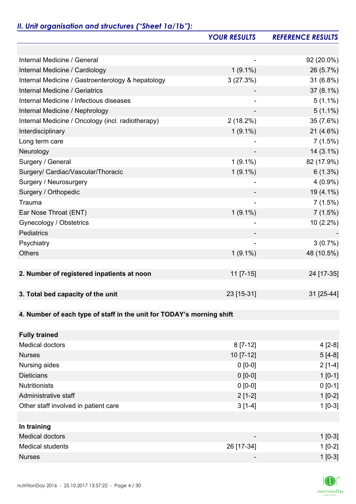# *II. Unit organisation and structures ("Sheet 1a/1b"):*

|                                                                       | <b>YOUR RESULTS</b> | <b>REFERENCE RESULTS</b> |
|-----------------------------------------------------------------------|---------------------|--------------------------|
|                                                                       |                     |                          |
| Internal Medicine / General                                           |                     | 92 (20.0%)               |
| Internal Medicine / Cardiology                                        | $1(9.1\%)$          | 26 (5.7%)                |
| Internal Medicine / Gastroenterology & hepatology                     | 3(27.3%)            | 31 (6.8%)                |
| Internal Medicine / Geriatrics                                        |                     | $37(8.1\%)$              |
| Internal Medicine / Infectious diseases                               |                     | $5(1.1\%)$               |
| Internal Medicine / Nephrology                                        |                     | $5(1.1\%)$               |
| Internal Medicine / Oncology (incl. radiotherapy)                     | $2(18.2\%)$         | 35 (7.6%)                |
| Interdisciplinary                                                     | $1(9.1\%)$          | $21(4.6\%)$              |
| Long term care                                                        |                     | 7(1.5%)                  |
| Neurology                                                             |                     | $14(3.1\%)$              |
| Surgery / General                                                     | $1(9.1\%)$          | 82 (17.9%)               |
| Surgery/ Cardiac/Vascular/Thoracic                                    | $1(9.1\%)$          | $6(1.3\%)$               |
| Surgery / Neurosurgery                                                |                     | $4(0.9\%)$               |
| Surgery / Orthopedic                                                  |                     | 19 (4.1%)                |
| Trauma                                                                |                     | 7(1.5%)                  |
| Ear Nose Throat (ENT)                                                 | $1(9.1\%)$          | 7(1.5%)                  |
| Gynecology / Obstetrics                                               |                     | 10 (2.2%)                |
| Pediatrics                                                            |                     |                          |
| Psychiatry                                                            |                     | 3(0.7%)                  |
| <b>Others</b>                                                         | $1(9.1\%)$          | 48 (10.5%)               |
|                                                                       |                     |                          |
| 2. Number of registered inpatients at noon                            | $11$ [7-15]         | 24 [17-35]               |
|                                                                       |                     |                          |
| 3. Total bed capacity of the unit                                     | 23 [15-31]          | 31 [25-44]               |
|                                                                       |                     |                          |
| 4. Number of each type of staff in the unit for TODAY's morning shift |                     |                          |
|                                                                       |                     |                          |
| <b>Fully trained</b>                                                  |                     |                          |
| <b>Medical doctors</b>                                                | $8[7-12]$           | $4[2-8]$                 |
| <b>Nurses</b>                                                         | $10$ [7-12]         | $5[4-8]$                 |
| Nursing aides                                                         | $0 [0-0]$           | $2[1-4]$                 |
| <b>Dieticians</b>                                                     | $0 [0-0]$           | $1 [0-1]$                |
| <b>Nutritionists</b>                                                  | $0 [0-0]$           | $0 [0-1]$                |
| Administrative staff                                                  | $2[1-2]$            | $1[0-2]$                 |
| Other staff involved in patient care                                  | $3[1-4]$            | $1[0-3]$                 |
|                                                                       |                     |                          |
| In training                                                           |                     |                          |
| <b>Medical doctors</b>                                                |                     | $1$ [0-3]                |
| <b>Medical students</b>                                               | 26 [17-34]          | $1[0-2]$                 |
| <b>Nurses</b>                                                         |                     | $1[0-3]$                 |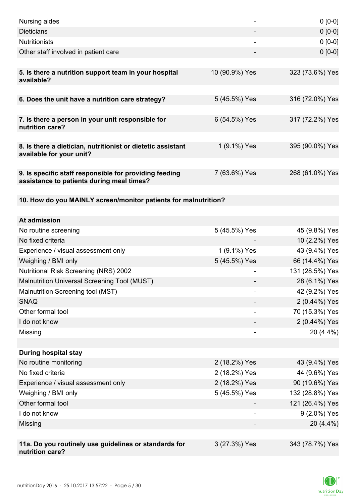| Nursing aides                                                                                       |                | $0 [0-0]$       |
|-----------------------------------------------------------------------------------------------------|----------------|-----------------|
| <b>Dieticians</b>                                                                                   |                | $0 [0-0]$       |
| <b>Nutritionists</b>                                                                                |                | $0 [0-0]$       |
| Other staff involved in patient care                                                                |                | $0 [0-0]$       |
|                                                                                                     |                |                 |
| 5. Is there a nutrition support team in your hospital<br>available?                                 | 10 (90.9%) Yes | 323 (73.6%) Yes |
| 6. Does the unit have a nutrition care strategy?                                                    | 5 (45.5%) Yes  | 316 (72.0%) Yes |
| 7. Is there a person in your unit responsible for<br>nutrition care?                                | 6 (54.5%) Yes  | 317 (72.2%) Yes |
| 8. Is there a dietician, nutritionist or dietetic assistant                                         | 1 (9.1%) Yes   | 395 (90.0%) Yes |
| available for your unit?                                                                            |                |                 |
| 9. Is specific staff responsible for providing feeding<br>assistance to patients during meal times? | 7 (63.6%) Yes  | 268 (61.0%) Yes |
| 10. How do you MAINLY screen/monitor patients for malnutrition?                                     |                |                 |
|                                                                                                     |                |                 |
| At admission                                                                                        |                |                 |
| No routine screening                                                                                | 5 (45.5%) Yes  | 45 (9.8%) Yes   |
| No fixed criteria                                                                                   |                | 10 (2.2%) Yes   |
| Experience / visual assessment only                                                                 | 1 (9.1%) Yes   | 43 (9.4%) Yes   |
| Weighing / BMI only                                                                                 | 5 (45.5%) Yes  | 66 (14.4%) Yes  |
| <b>Nutritional Risk Screening (NRS) 2002</b>                                                        |                | 131 (28.5%) Yes |
| Malnutrition Universal Screening Tool (MUST)                                                        |                | 28 (6.1%) Yes   |
| Malnutrition Screening tool (MST)                                                                   |                | 42 (9.2%) Yes   |
| <b>SNAQ</b>                                                                                         |                | 2 (0.44%) Yes   |
| Other formal tool                                                                                   |                | 70 (15.3%) Yes  |
| I do not know                                                                                       |                | 2 (0.44%) Yes   |
| Missing                                                                                             |                | 20 (4.4%)       |
|                                                                                                     |                |                 |
| <b>During hospital stay</b>                                                                         |                |                 |
| No routine monitoring                                                                               | 2 (18.2%) Yes  | 43 (9.4%) Yes   |
| No fixed criteria                                                                                   | 2 (18.2%) Yes  | 44 (9.6%) Yes   |
| Experience / visual assessment only                                                                 | 2 (18.2%) Yes  | 90 (19.6%) Yes  |
| Weighing / BMI only                                                                                 | 5 (45.5%) Yes  | 132 (28.8%) Yes |
| Other formal tool                                                                                   |                | 121 (26.4%) Yes |
| I do not know                                                                                       |                | 9 (2.0%) Yes    |
| Missing                                                                                             |                | 20 (4.4%)       |
|                                                                                                     |                |                 |
| 11a. Do you routinely use guidelines or standards for<br>nutrition care?                            | 3 (27.3%) Yes  | 343 (78.7%) Yes |

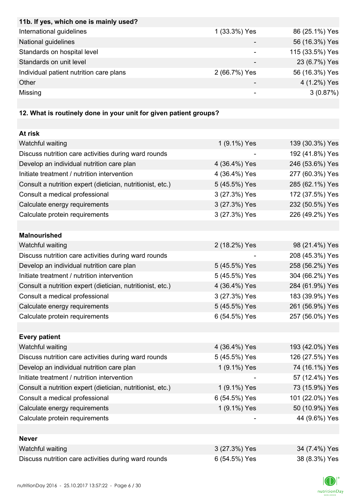| 11b. If yes, which one is mainly used?  |               |                 |
|-----------------------------------------|---------------|-----------------|
| International guidelines                | 1 (33.3%) Yes | 86 (25.1%) Yes  |
| National guidelines                     |               | 56 (16.3%) Yes  |
| Standards on hospital level             |               | 115 (33.5%) Yes |
| Standards on unit level                 |               | 23 (6.7%) Yes   |
| Individual patient nutrition care plans | 2 (66.7%) Yes | 56 (16.3%) Yes  |
| Other                                   |               | 4 (1.2%) Yes    |
| Missing                                 |               | 3(0.87%)        |
|                                         |               |                 |

# **12. What is routinely done in your unit for given patient groups?**

| At risk                                                    |               |                 |
|------------------------------------------------------------|---------------|-----------------|
| Watchful waiting                                           | 1 (9.1%) Yes  | 139 (30.3%) Yes |
| Discuss nutrition care activities during ward rounds       |               | 192 (41.8%) Yes |
| Develop an individual nutrition care plan                  | 4 (36.4%) Yes | 246 (53.6%) Yes |
| Initiate treatment / nutrition intervention                | 4 (36.4%) Yes | 277 (60.3%) Yes |
| Consult a nutrition expert (dietician, nutritionist, etc.) | 5 (45.5%) Yes | 285 (62.1%) Yes |
| Consult a medical professional                             | 3 (27.3%) Yes | 172 (37.5%) Yes |
| Calculate energy requirements                              | 3 (27.3%) Yes | 232 (50.5%) Yes |
| Calculate protein requirements                             | 3 (27.3%) Yes | 226 (49.2%) Yes |
|                                                            |               |                 |
| <b>Malnourished</b>                                        |               |                 |
| Watchful waiting                                           | 2 (18.2%) Yes | 98 (21.4%) Yes  |
| Discuss nutrition care activities during ward rounds       |               | 208 (45.3%) Yes |
| Develop an individual nutrition care plan                  | 5 (45.5%) Yes | 258 (56.2%) Yes |
| Initiate treatment / nutrition intervention                | 5 (45.5%) Yes | 304 (66.2%) Yes |
| Consult a nutrition expert (dietician, nutritionist, etc.) | 4 (36.4%) Yes | 284 (61.9%) Yes |
| Consult a medical professional                             | 3 (27.3%) Yes | 183 (39.9%) Yes |
| Calculate energy requirements                              | 5 (45.5%) Yes | 261 (56.9%) Yes |
| Calculate protein requirements                             | 6 (54.5%) Yes | 257 (56.0%) Yes |
|                                                            |               |                 |
| <b>Every patient</b>                                       |               |                 |
| Watchful waiting                                           | 4 (36.4%) Yes | 193 (42.0%) Yes |
| Discuss nutrition care activities during ward rounds       | 5 (45.5%) Yes | 126 (27.5%) Yes |
| Develop an individual nutrition care plan                  | 1 (9.1%) Yes  | 74 (16.1%) Yes  |
| Initiate treatment / nutrition intervention                |               | 57 (12.4%) Yes  |
| Consult a nutrition expert (dietician, nutritionist, etc.) | 1 (9.1%) Yes  | 73 (15.9%) Yes  |
| Consult a medical professional                             | 6 (54.5%) Yes | 101 (22.0%) Yes |
| Calculate energy requirements                              | 1 (9.1%) Yes  | 50 (10.9%) Yes  |
| Calculate protein requirements                             |               | 44 (9.6%) Yes   |
|                                                            |               |                 |
| <b>Never</b>                                               |               |                 |
| Watchful waiting                                           | 3 (27.3%) Yes | 34 (7.4%) Yes   |
| Discuss nutrition care activities during ward rounds       | 6 (54.5%) Yes | 38 (8.3%) Yes   |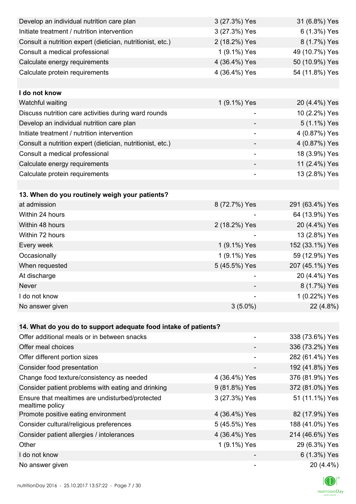| Develop an individual nutrition care plan                          | 3 (27.3%) Yes  | 31 (6.8%) Yes   |
|--------------------------------------------------------------------|----------------|-----------------|
| Initiate treatment / nutrition intervention                        | 3 (27.3%) Yes  | 6 (1.3%) Yes    |
| Consult a nutrition expert (dietician, nutritionist, etc.)         | 2 (18.2%) Yes  | 8 (1.7%) Yes    |
| Consult a medical professional                                     | 1 (9.1%) Yes   | 49 (10.7%) Yes  |
| Calculate energy requirements                                      | 4 (36.4%) Yes  | 50 (10.9%) Yes  |
| Calculate protein requirements                                     | 4 (36.4%) Yes  | 54 (11.8%) Yes  |
|                                                                    |                |                 |
| I do not know                                                      |                |                 |
| Watchful waiting                                                   | 1 (9.1%) Yes   | 20 (4.4%) Yes   |
| Discuss nutrition care activities during ward rounds               | -              | 10 (2.2%) Yes   |
| Develop an individual nutrition care plan                          |                | 5 (1.1%) Yes    |
| Initiate treatment / nutrition intervention                        | $\overline{a}$ | 4 (0.87%) Yes   |
| Consult a nutrition expert (dietician, nutritionist, etc.)         |                | 4 (0.87%) Yes   |
| Consult a medical professional                                     |                | 18 (3.9%) Yes   |
| Calculate energy requirements                                      |                | 11 (2.4%) Yes   |
| Calculate protein requirements                                     | -              | 13 (2.8%) Yes   |
|                                                                    |                |                 |
| 13. When do you routinely weigh your patients?                     |                |                 |
| at admission                                                       | 8 (72.7%) Yes  | 291 (63.4%) Yes |
| Within 24 hours                                                    |                | 64 (13.9%) Yes  |
| Within 48 hours                                                    | 2 (18.2%) Yes  | 20 (4.4%) Yes   |
| Within 72 hours                                                    |                | 13 (2.8%) Yes   |
| Every week                                                         | 1 (9.1%) Yes   | 152 (33.1%) Yes |
| Occasionally                                                       | 1 (9.1%) Yes   | 59 (12.9%) Yes  |
| When requested                                                     | 5 (45.5%) Yes  | 207 (45.1%) Yes |
| At discharge                                                       |                | 20 (4.4%) Yes   |
| Never                                                              |                | 8 (1.7%) Yes    |
| I do not know                                                      |                | 1 (0.22%) Yes   |
| No answer given                                                    | $3(5.0\%)$     | 22 (4.8%)       |
|                                                                    |                |                 |
| 14. What do you do to support adequate food intake of patients?    |                |                 |
| Offer additional meals or in between snacks                        |                | 338 (73.6%) Yes |
| Offer meal choices                                                 |                | 336 (73.2%) Yes |
| Offer different portion sizes                                      |                | 282 (61.4%) Yes |
| Consider food presentation                                         |                | 192 (41.8%) Yes |
| Change food texture/consistency as needed                          | 4 (36.4%) Yes  | 376 (81.9%) Yes |
| Consider patient problems with eating and drinking                 | 9 (81.8%) Yes  | 372 (81.0%) Yes |
| Ensure that mealtimes are undisturbed/protected<br>mealtime policy | 3 (27.3%) Yes  | 51 (11.1%) Yes  |
| Promote positive eating environment                                | 4 (36.4%) Yes  | 82 (17.9%) Yes  |
| Consider cultural/religious preferences                            | 5 (45.5%) Yes  | 188 (41.0%) Yes |
| Consider patient allergies / intolerances                          | 4 (36.4%) Yes  | 214 (46.6%) Yes |
| Other                                                              | 1 (9.1%) Yes   | 29 (6.3%) Yes   |
| I do not know                                                      |                | 6 (1.3%) Yes    |
| No answer given                                                    |                | 20 (4.4%)       |

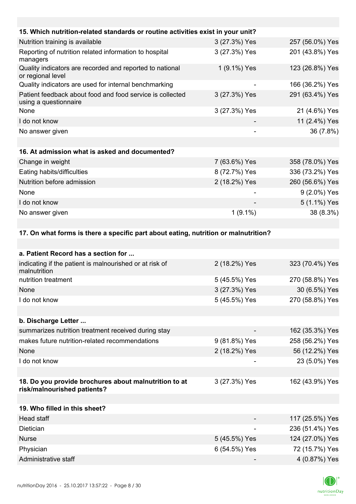| 15. Which nutrition-related standards or routine activities exist in your unit?      |               |                 |
|--------------------------------------------------------------------------------------|---------------|-----------------|
| Nutrition training is available                                                      | 3 (27.3%) Yes | 257 (56.0%) Yes |
| Reporting of nutrition related information to hospital<br>managers                   | 3 (27.3%) Yes | 201 (43.8%) Yes |
| Quality indicators are recorded and reported to national<br>or regional level        | 1 (9.1%) Yes  | 123 (26.8%) Yes |
| Quality indicators are used for internal benchmarking                                |               | 166 (36.2%) Yes |
| Patient feedback about food and food service is collected<br>using a questionnaire   | 3 (27.3%) Yes | 291 (63.4%) Yes |
| None                                                                                 | 3 (27.3%) Yes | 21 (4.6%) Yes   |
| I do not know                                                                        |               | 11 (2.4%) Yes   |
| No answer given                                                                      |               | 36 (7.8%)       |
|                                                                                      |               |                 |
| 16. At admission what is asked and documented?                                       |               |                 |
| Change in weight                                                                     | 7 (63.6%) Yes | 358 (78.0%) Yes |
| Eating habits/difficulties                                                           | 8 (72.7%) Yes | 336 (73.2%) Yes |
| Nutrition before admission                                                           | 2 (18.2%) Yes | 260 (56.6%) Yes |
| None                                                                                 |               | 9 (2.0%) Yes    |
| I do not know                                                                        |               | 5 (1.1%) Yes    |
| No answer given                                                                      | $1(9.1\%)$    | 38 (8.3%)       |
|                                                                                      |               |                 |
| 17. On what forms is there a specific part about eating, nutrition or malnutrition?  |               |                 |
|                                                                                      |               |                 |
| a. Patient Record has a section for                                                  |               |                 |
| indicating if the patient is malnourished or at risk of<br>malnutrition              | 2 (18.2%) Yes | 323 (70.4%) Yes |
| nutrition treatment                                                                  | 5 (45.5%) Yes | 270 (58.8%) Yes |
| None                                                                                 | 3 (27.3%) Yes | 30 (6.5%) Yes   |
| I do not know                                                                        | 5 (45.5%) Yes | 270 (58.8%) Yes |
|                                                                                      |               |                 |
| b. Discharge Letter                                                                  |               |                 |
| summarizes nutrition treatment received during stay                                  |               | 162 (35.3%) Yes |
| makes future nutrition-related recommendations                                       | 9 (81.8%) Yes | 258 (56.2%) Yes |
| None                                                                                 | 2 (18.2%) Yes | 56 (12.2%) Yes  |
| I do not know                                                                        |               | 23 (5.0%) Yes   |
|                                                                                      |               |                 |
| 18. Do you provide brochures about malnutrition to at<br>risk/malnourished patients? | 3 (27.3%) Yes | 162 (43.9%) Yes |
|                                                                                      |               |                 |
| 19. Who filled in this sheet?                                                        |               |                 |
| <b>Head staff</b>                                                                    |               | 117 (25.5%) Yes |
| Dietician                                                                            |               | 236 (51.4%) Yes |
| <b>Nurse</b>                                                                         | 5 (45.5%) Yes | 124 (27.0%) Yes |
| Physician                                                                            | 6 (54.5%) Yes | 72 (15.7%) Yes  |
| Administrative staff                                                                 |               | 4 (0.87%) Yes   |

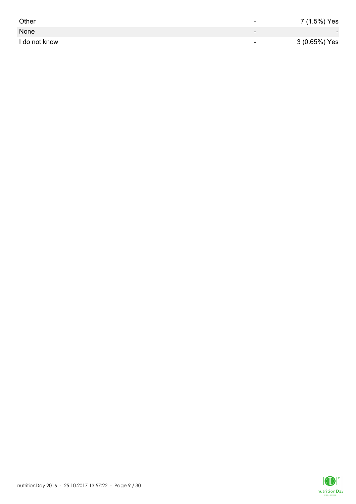| Other         | -                        | 7 (1.5%) Yes             |
|---------------|--------------------------|--------------------------|
| None          | $\overline{\phantom{0}}$ | $\overline{\phantom{0}}$ |
| I do not know | $\overline{\phantom{0}}$ | 3 (0.65%) Yes            |

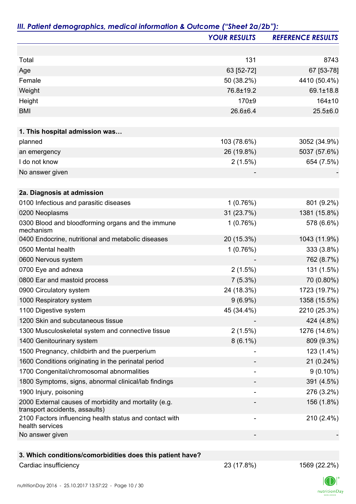|                                                                                         | <b>YOUR RESULTS</b> | <b>REFERENCE RESULTS</b> |
|-----------------------------------------------------------------------------------------|---------------------|--------------------------|
|                                                                                         |                     |                          |
| Total                                                                                   | 131                 | 8743                     |
| Age                                                                                     | 63 [52-72]          | 67 [53-78]               |
| Female                                                                                  | 50 (38.2%)          | 4410 (50.4%)             |
| Weight                                                                                  | 76.8±19.2           | 69.1±18.8                |
| Height                                                                                  | 170±9               | 164±10                   |
| <b>BMI</b>                                                                              | 26.6±6.4            | $25.5 \pm 6.0$           |
|                                                                                         |                     |                          |
| 1. This hospital admission was                                                          |                     |                          |
| planned                                                                                 | 103 (78.6%)         | 3052 (34.9%)             |
| an emergency                                                                            | 26 (19.8%)          | 5037 (57.6%)             |
| I do not know                                                                           | 2(1.5%)             | 654 (7.5%)               |
| No answer given                                                                         |                     |                          |
|                                                                                         |                     |                          |
| 2a. Diagnosis at admission                                                              |                     |                          |
| 0100 Infectious and parasitic diseases                                                  | 1(0.76%)            | 801 (9.2%)               |
| 0200 Neoplasms                                                                          | 31 (23.7%)          | 1381 (15.8%)             |
| 0300 Blood and bloodforming organs and the immune<br>mechanism                          | 1(0.76%)            | 578 (6.6%)               |
| 0400 Endocrine, nutritional and metabolic diseases                                      | 20 (15.3%)          | 1043 (11.9%)             |
| 0500 Mental health                                                                      | 1(0.76%)            | 333 (3.8%)               |
| 0600 Nervous system                                                                     |                     | 762 (8.7%)               |
| 0700 Eye and adnexa                                                                     | 2(1.5%)             | 131 (1.5%)               |
| 0800 Ear and mastoid process                                                            | 7(5.3%)             | 70 (0.80%)               |
| 0900 Circulatory system                                                                 | 24 (18.3%)          | 1723 (19.7%)             |
| 1000 Respiratory system                                                                 | $9(6.9\%)$          | 1358 (15.5%)             |
| 1100 Digestive system                                                                   | 45 (34.4%)          | 2210 (25.3%)             |
| 1200 Skin and subcutaneous tissue                                                       |                     | 424 (4.8%)               |
| 1300 Musculoskeletal system and connective tissue                                       | 2(1.5%)             | 1276 (14.6%)             |
| 1400 Genitourinary system                                                               | $8(6.1\%)$          | 809 (9.3%)               |
| 1500 Pregnancy, childbirth and the puerperium                                           |                     | 123 (1.4%)               |
| 1600 Conditions originating in the perinatal period                                     |                     | 21 (0.24%)               |
| 1700 Congenital/chromosomal abnormalities                                               |                     | $9(0.10\%)$              |
| 1800 Symptoms, signs, abnormal clinical/lab findings                                    |                     | 391 (4.5%)               |
| 1900 Injury, poisoning                                                                  |                     | 276 (3.2%)               |
| 2000 External causes of morbidity and mortality (e.g.<br>transport accidents, assaults) |                     | 156 (1.8%)               |
| 2100 Factors influencing health status and contact with<br>health services              |                     | 210 (2.4%)               |
| No answer given                                                                         |                     |                          |

### **3. Which conditions/comorbidities does this patient have?**

Cardiac insufficiency 23 (17.8%) 1569 (22.2%)

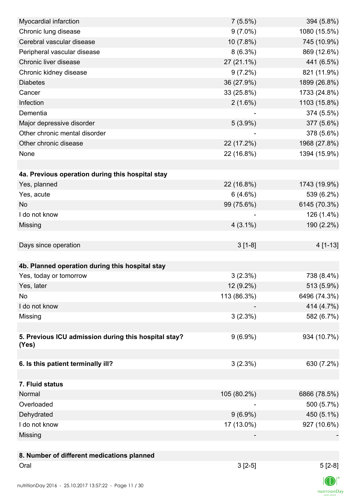| Myocardial infarction                                  | 7(5.5%)     | 394 (5.8%)   |
|--------------------------------------------------------|-------------|--------------|
| Chronic lung disease                                   | $9(7.0\%)$  | 1080 (15.5%) |
| Cerebral vascular disease                              | 10 (7.8%)   | 745 (10.9%)  |
| Peripheral vascular disease                            | $8(6.3\%)$  | 869 (12.6%)  |
| Chronic liver disease                                  | 27 (21.1%)  | 441 (6.5%)   |
| Chronic kidney disease                                 | $9(7.2\%)$  | 821 (11.9%)  |
| <b>Diabetes</b>                                        | 36 (27.9%)  | 1899 (26.8%) |
| Cancer                                                 | 33 (25.8%)  | 1733 (24.8%) |
| Infection                                              | $2(1.6\%)$  | 1103 (15.8%) |
| Dementia                                               |             | 374 (5.5%)   |
| Major depressive disorder                              | $5(3.9\%)$  | 377 (5.6%)   |
| Other chronic mental disorder                          |             | 378 (5.6%)   |
| Other chronic disease                                  | 22 (17.2%)  | 1968 (27.8%) |
| None                                                   | 22 (16.8%)  | 1394 (15.9%) |
|                                                        |             |              |
| 4a. Previous operation during this hospital stay       |             |              |
| Yes, planned                                           | 22 (16.8%)  | 1743 (19.9%) |
| Yes, acute                                             | 6(4.6%)     | 539 (6.2%)   |
| <b>No</b>                                              | 99 (75.6%)  | 6145 (70.3%) |
| I do not know                                          |             | 126 (1.4%)   |
| Missing                                                | $4(3.1\%)$  | 190 (2.2%)   |
|                                                        |             |              |
| Days since operation                                   | $3[1-8]$    | 4 [1-13]     |
|                                                        |             |              |
| 4b. Planned operation during this hospital stay        |             |              |
|                                                        |             |              |
| Yes, today or tomorrow                                 | 3(2.3%)     | 738 (8.4%)   |
| Yes, later                                             | 12 (9.2%)   | 513 (5.9%)   |
| No                                                     | 113 (86.3%) | 6496 (74.3%) |
| I do not know                                          |             | 414 (4.7%)   |
| Missing                                                | 3(2.3%)     | 582 (6.7%)   |
|                                                        |             |              |
| 5. Previous ICU admission during this hospital stay?   | $9(6.9\%)$  | 934 (10.7%)  |
| (Yes)                                                  |             |              |
| 6. Is this patient terminally ill?                     | 3(2.3%)     | 630 (7.2%)   |
|                                                        |             |              |
| 7. Fluid status                                        |             |              |
| Normal                                                 | 105 (80.2%) | 6866 (78.5%) |
| Overloaded                                             |             | 500 (5.7%)   |
|                                                        | $9(6.9\%)$  |              |
| Dehydrated<br>I do not know                            |             | 450 (5.1%)   |
|                                                        | 17 (13.0%)  | 927 (10.6%)  |
| Missing                                                |             |              |
|                                                        |             |              |
| 8. Number of different medications planned             |             |              |
| Oral                                                   | $3[2-5]$    | $5[2-8]$     |
| nutritionDay 2016 - 25 10 2017 13:57:22 - Page 11 / 30 |             |              |

 $\mathsf{n}$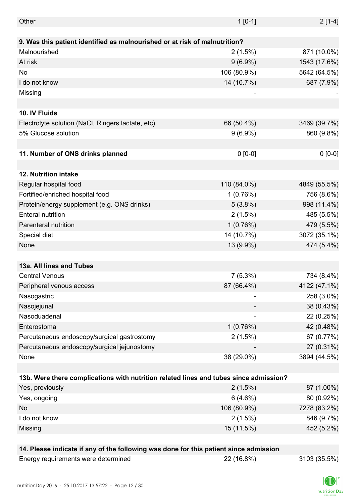| Other                                                                                 | $1 [0-1]$   | $2[1-4]$     |
|---------------------------------------------------------------------------------------|-------------|--------------|
|                                                                                       |             |              |
| 9. Was this patient identified as malnourished or at risk of malnutrition?            |             |              |
| Malnourished                                                                          | $2(1.5\%)$  | 871 (10.0%)  |
| At risk                                                                               | $9(6.9\%)$  | 1543 (17.6%) |
| No                                                                                    | 106 (80.9%) | 5642 (64.5%) |
| I do not know                                                                         | 14 (10.7%)  | 687 (7.9%)   |
| Missing                                                                               |             |              |
|                                                                                       |             |              |
| 10. IV Fluids                                                                         |             |              |
| Electrolyte solution (NaCl, Ringers lactate, etc)                                     | 66 (50.4%)  | 3469 (39.7%) |
| 5% Glucose solution                                                                   | $9(6.9\%)$  | 860 (9.8%)   |
|                                                                                       |             |              |
| 11. Number of ONS drinks planned                                                      | $0 [0-0]$   | $0 [0-0]$    |
|                                                                                       |             |              |
| 12. Nutrition intake                                                                  |             |              |
| Regular hospital food                                                                 | 110 (84.0%) | 4849 (55.5%) |
| Fortified/enriched hospital food                                                      | 1(0.76%)    | 756 (8.6%)   |
| Protein/energy supplement (e.g. ONS drinks)                                           | $5(3.8\%)$  | 998 (11.4%)  |
| <b>Enteral nutrition</b>                                                              | $2(1.5\%)$  | 485 (5.5%)   |
| Parenteral nutrition                                                                  | 1(0.76%)    | 479 (5.5%)   |
| Special diet                                                                          | 14 (10.7%)  | 3072 (35.1%) |
| None                                                                                  | 13 (9.9%)   | 474 (5.4%)   |
|                                                                                       |             |              |
| 13a. All lines and Tubes                                                              |             |              |
| <b>Central Venous</b>                                                                 | $7(5.3\%)$  | 734 (8.4%)   |
| Peripheral venous access                                                              | 87 (66.4%)  | 4122 (47.1%) |
| Nasogastric                                                                           |             | 258 (3.0%)   |
| Nasojejunal                                                                           |             | 38 (0.43%)   |
| Nasoduadenal                                                                          |             | 22 (0.25%)   |
| Enterostoma                                                                           | 1(0.76%)    | 42 (0.48%)   |
| Percutaneous endoscopy/surgical gastrostomy                                           | 2(1.5%)     | 67 (0.77%)   |
| Percutaneous endoscopy/surgical jejunostomy                                           |             | 27 (0.31%)   |
| None                                                                                  | 38 (29.0%)  | 3894 (44.5%) |
|                                                                                       |             |              |
| 13b. Were there complications with nutrition related lines and tubes since admission? |             |              |
| Yes, previously                                                                       | $2(1.5\%)$  | 87 (1.00%)   |
| Yes, ongoing                                                                          | 6(4.6%)     | 80 (0.92%)   |
| No                                                                                    | 106 (80.9%) | 7278 (83.2%) |
| I do not know                                                                         | 2(1.5%)     | 846 (9.7%)   |
| Missing                                                                               | 15 (11.5%)  | 452 (5.2%)   |
|                                                                                       |             |              |
| 14. Please indicate if any of the following was done for this patient since admission |             |              |
| Energy requirements were determined                                                   | 22 (16.8%)  | 3103 (35.5%) |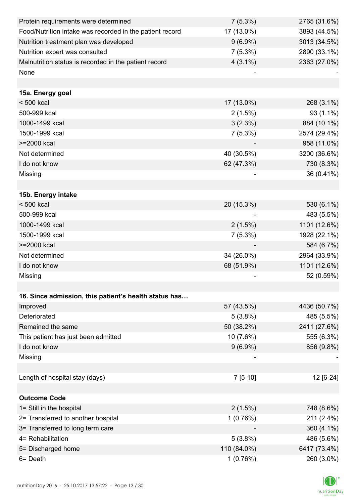| Protein requirements were determined                     | $7(5.3\%)$  | 2765 (31.6%) |
|----------------------------------------------------------|-------------|--------------|
| Food/Nutrition intake was recorded in the patient record | 17 (13.0%)  | 3893 (44.5%) |
| Nutrition treatment plan was developed                   | $9(6.9\%)$  | 3013 (34.5%) |
| Nutrition expert was consulted                           | $7(5.3\%)$  | 2890 (33.1%) |
| Malnutrition status is recorded in the patient record    | $4(3.1\%)$  | 2363 (27.0%) |
| None                                                     |             |              |
|                                                          |             |              |
| 15a. Energy goal                                         |             |              |
| < 500 kcal                                               | 17 (13.0%)  | 268 (3.1%)   |
| 500-999 kcal                                             | 2(1.5%)     | 93 (1.1%)    |
| 1000-1499 kcal                                           | 3(2.3%)     | 884 (10.1%)  |
| 1500-1999 kcal                                           | $7(5.3\%)$  | 2574 (29.4%) |
| >=2000 kcal                                              |             | 958 (11.0%)  |
| Not determined                                           | 40 (30.5%)  | 3200 (36.6%) |
| I do not know                                            | 62 (47.3%)  | 730 (8.3%)   |
| Missing                                                  |             | 36 (0.41%)   |
|                                                          |             |              |
| 15b. Energy intake                                       |             |              |
| $< 500$ kcal                                             | 20 (15.3%)  | 530 (6.1%)   |
| 500-999 kcal                                             |             | 483 (5.5%)   |
| 1000-1499 kcal                                           | 2(1.5%)     | 1101 (12.6%) |
| 1500-1999 kcal                                           | $7(5.3\%)$  | 1928 (22.1%) |
| >=2000 kcal                                              |             | 584 (6.7%)   |
| Not determined                                           | 34 (26.0%)  | 2964 (33.9%) |
| I do not know                                            | 68 (51.9%)  | 1101 (12.6%) |
| Missing                                                  |             | 52 (0.59%)   |
|                                                          |             |              |
| 16. Since admission, this patient's health status has    |             |              |
| Improved                                                 | 57 (43.5%)  | 4436 (50.7%) |
| Deteriorated                                             | $5(3.8\%)$  | 485 (5.5%)   |
| Remained the same                                        | 50 (38.2%)  | 2411 (27.6%) |
| This patient has just been admitted                      | 10 (7.6%)   | 555 (6.3%)   |
| I do not know                                            | $9(6.9\%)$  | 856 (9.8%)   |
| Missing                                                  |             |              |
|                                                          |             |              |
| Length of hospital stay (days)                           | $7[5-10]$   | 12 [6-24]    |
|                                                          |             |              |
| <b>Outcome Code</b>                                      |             |              |
| 1= Still in the hospital                                 | 2(1.5%)     | 748 (8.6%)   |
| 2= Transferred to another hospital                       | 1(0.76%)    | 211 (2.4%)   |
| 3= Transferred to long term care                         |             | 360 (4.1%)   |
| 4= Rehabilitation                                        | $5(3.8\%)$  | 486 (5.6%)   |
| 5= Discharged home                                       | 110 (84.0%) | 6417 (73.4%) |
| 6= Death                                                 | 1(0.76%)    | 260 (3.0%)   |

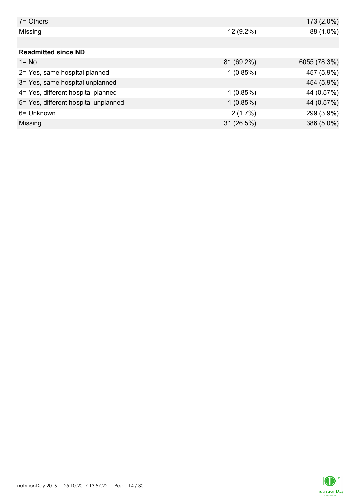| $7 =$ Others                         |             | 173 (2.0%)   |
|--------------------------------------|-------------|--------------|
| Missing                              | $12(9.2\%)$ | 88 (1.0%)    |
|                                      |             |              |
| <b>Readmitted since ND</b>           |             |              |
| $1 = No$                             | 81 (69.2%)  | 6055 (78.3%) |
| 2= Yes, same hospital planned        | 1(0.85%)    | 457 (5.9%)   |
| 3= Yes, same hospital unplanned      | -           | 454 (5.9%)   |
| 4= Yes, different hospital planned   | 1(0.85%)    | 44 (0.57%)   |
| 5= Yes, different hospital unplanned | 1(0.85%)    | 44 (0.57%)   |
| 6= Unknown                           | 2(1.7%)     | 299 (3.9%)   |
| Missing                              | 31 (26.5%)  | 386 (5.0%)   |

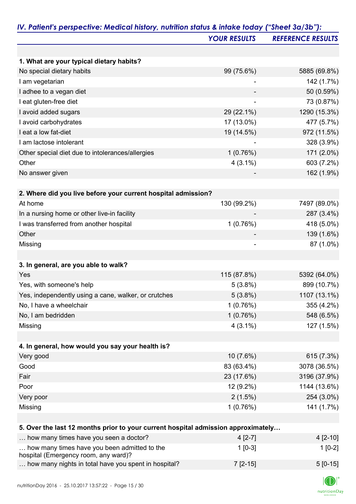|                                                                                   | <b>YOUR RESULTS</b>     | <b>REFERENCE RESULTS</b>     |
|-----------------------------------------------------------------------------------|-------------------------|------------------------------|
|                                                                                   |                         |                              |
| 1. What are your typical dietary habits?                                          |                         |                              |
| No special dietary habits                                                         | 99 (75.6%)              | 5885 (69.8%)                 |
| I am vegetarian                                                                   | ۰                       | 142 (1.7%)                   |
| I adhee to a vegan diet                                                           |                         | 50 (0.59%)                   |
| I eat gluten-free diet                                                            |                         | 73 (0.87%)                   |
| I avoid added sugars                                                              | 29 (22.1%)              | 1290 (15.3%)                 |
| I avoid carbohydrates                                                             | 17 (13.0%)              | 477 (5.7%)                   |
| I eat a low fat-diet                                                              | 19 (14.5%)              | 972 (11.5%)                  |
| I am lactose intolerant                                                           |                         | 328 (3.9%)                   |
| Other special diet due to intolerances/allergies                                  | 1(0.76%)                | 171 (2.0%)                   |
| Other                                                                             | $4(3.1\%)$              | 603 (7.2%)                   |
| No answer given                                                                   |                         | 162 (1.9%)                   |
| 2. Where did you live before your current hospital admission?                     |                         |                              |
| At home                                                                           | 130 (99.2%)             | 7497 (89.0%)                 |
| In a nursing home or other live-in facility                                       |                         | 287 (3.4%)                   |
| I was transferred from another hospital                                           | 1(0.76%)                | 418 (5.0%)                   |
| Other                                                                             |                         | 139 (1.6%)                   |
| Missing                                                                           |                         | 87 (1.0%)                    |
|                                                                                   |                         |                              |
| 3. In general, are you able to walk?                                              |                         |                              |
| Yes                                                                               | 115 (87.8%)             | 5392 (64.0%)                 |
| Yes, with someone's help                                                          | 5(3.8%)                 | 899 (10.7%)                  |
| Yes, independently using a cane, walker, or crutches                              | $5(3.8\%)$              | 1107 (13.1%)                 |
| No, I have a wheelchair                                                           | 1(0.76%)                | 355 (4.2%)                   |
| No, I am bedridden                                                                | 1(0.76%)                | 548 (6.5%)                   |
| Missing                                                                           | $4(3.1\%)$              | 127 (1.5%)                   |
|                                                                                   |                         |                              |
| 4. In general, how would you say your health is?                                  |                         |                              |
| Very good<br>Good                                                                 | 10 (7.6%)<br>83 (63.4%) | 615 (7.3%)                   |
| Fair                                                                              | 23 (17.6%)              | 3078 (36.5%)<br>3196 (37.9%) |
| Poor                                                                              |                         |                              |
| Very poor                                                                         | 12 (9.2%)               | 1144 (13.6%)<br>254 (3.0%)   |
|                                                                                   | 2(1.5%)<br>1(0.76%)     | 141 (1.7%)                   |
| Missing                                                                           |                         |                              |
| 5. Over the last 12 months prior to your current hospital admission approximately |                         |                              |
| how many times have you seen a doctor?                                            | $4[2-7]$                | 4 [2-10]                     |
| how many times have you been admitted to the                                      | $1[0-3]$                | $1[0-2]$                     |

hospital (Emergency room, any ward)?

... how many nights in total have you spent in hospital?  $7$  [2-15]  $7$  [2-15]  $5$  [0-15]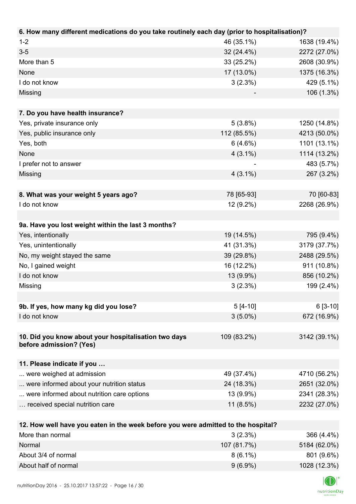| 6. How many different medications do you take routinely each day (prior to hospitalisation)? |             |              |
|----------------------------------------------------------------------------------------------|-------------|--------------|
| $1 - 2$                                                                                      | 46 (35.1%)  | 1638 (19.4%) |
| $3 - 5$                                                                                      | 32 (24.4%)  | 2272 (27.0%) |
| More than 5                                                                                  | 33 (25.2%)  | 2608 (30.9%) |
| None                                                                                         | 17 (13.0%)  | 1375 (16.3%) |
| I do not know                                                                                | 3(2.3%)     | 429 (5.1%)   |
| Missing                                                                                      |             | 106 (1.3%)   |
|                                                                                              |             |              |
| 7. Do you have health insurance?                                                             |             |              |
| Yes, private insurance only                                                                  | 5(3.8%)     | 1250 (14.8%) |
| Yes, public insurance only                                                                   | 112 (85.5%) | 4213 (50.0%) |
| Yes, both                                                                                    | 6(4.6%)     | 1101 (13.1%) |
| None                                                                                         | $4(3.1\%)$  | 1114 (13.2%) |
| I prefer not to answer                                                                       |             | 483 (5.7%)   |
| Missing                                                                                      | $4(3.1\%)$  | 267 (3.2%)   |
|                                                                                              |             |              |
| 8. What was your weight 5 years ago?                                                         | 78 [65-93]  | 70 [60-83]   |
| I do not know                                                                                | 12 (9.2%)   | 2268 (26.9%) |
|                                                                                              |             |              |
| 9a. Have you lost weight within the last 3 months?                                           |             |              |
| Yes, intentionally                                                                           | 19 (14.5%)  | 795 (9.4%)   |
| Yes, unintentionally                                                                         | 41 (31.3%)  | 3179 (37.7%) |
| No, my weight stayed the same                                                                | 39 (29.8%)  | 2488 (29.5%) |
| No, I gained weight                                                                          | 16 (12.2%)  | 911 (10.8%)  |
| I do not know                                                                                | 13 (9.9%)   | 856 (10.2%)  |
| Missing                                                                                      | 3(2.3%)     | 199 (2.4%)   |
|                                                                                              |             |              |
| 9b. If yes, how many kg did you lose?                                                        | $5[4-10]$   | $6[3-10]$    |
| I do not know                                                                                | $3(5.0\%)$  | 672 (16.9%)  |
|                                                                                              |             |              |
| 10. Did you know about your hospitalisation two days<br>before admission? (Yes)              | 109 (83.2%) | 3142 (39.1%) |
|                                                                                              |             |              |
| 11. Please indicate if you                                                                   |             |              |
| were weighed at admission                                                                    | 49 (37.4%)  | 4710 (56.2%) |
| were informed about your nutrition status                                                    | 24 (18.3%)  | 2651 (32.0%) |
| were informed about nutrition care options                                                   | 13 (9.9%)   | 2341 (28.3%) |
| received special nutrition care                                                              | $11(8.5\%)$ | 2232 (27.0%) |
|                                                                                              |             |              |
| 12. How well have you eaten in the week before you were admitted to the hospital?            |             |              |
| More than normal                                                                             | 3(2.3%)     | 366 (4.4%)   |

| More than normal     | $3(2.3\%)$  | $366(4.4\%)$ |
|----------------------|-------------|--------------|
| Normal               | 107 (81.7%) | 5184 (62.0%) |
| About 3/4 of normal  | $8(6.1\%)$  | 801 (9.6%)   |
| About half of normal | $9(6.9\%)$  | 1028 (12.3%) |

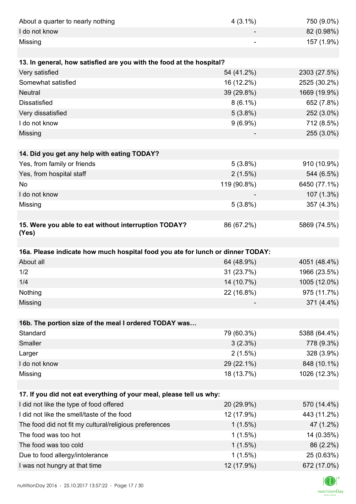| About a quarter to nearly nothing                                              | $4(3.1\%)$  | 750 (9.0%)   |
|--------------------------------------------------------------------------------|-------------|--------------|
| I do not know                                                                  |             | 82 (0.98%)   |
| Missing                                                                        |             | 157 (1.9%)   |
|                                                                                |             |              |
| 13. In general, how satisfied are you with the food at the hospital?           |             |              |
| Very satisfied                                                                 | 54 (41.2%)  | 2303 (27.5%) |
| Somewhat satisfied                                                             | 16 (12.2%)  | 2525 (30.2%) |
| <b>Neutral</b>                                                                 | 39 (29.8%)  | 1669 (19.9%) |
| <b>Dissatisfied</b>                                                            | $8(6.1\%)$  | 652 (7.8%)   |
| Very dissatisfied                                                              | 5(3.8%)     | 252 (3.0%)   |
| I do not know                                                                  | $9(6.9\%)$  | 712 (8.5%)   |
| Missing                                                                        |             | 255 (3.0%)   |
|                                                                                |             |              |
| 14. Did you get any help with eating TODAY?                                    |             |              |
| Yes, from family or friends                                                    | $5(3.8\%)$  | 910 (10.9%)  |
| Yes, from hospital staff                                                       | 2(1.5%)     | 544 (6.5%)   |
| <b>No</b>                                                                      | 119 (90.8%) | 6450 (77.1%) |
| I do not know                                                                  |             | 107 (1.3%)   |
| Missing                                                                        | 5(3.8%)     | 357 (4.3%)   |
|                                                                                |             |              |
| 15. Were you able to eat without interruption TODAY?<br>(Yes)                  | 86 (67.2%)  | 5869 (74.5%) |
|                                                                                |             |              |
| 16a. Please indicate how much hospital food you ate for lunch or dinner TODAY: |             |              |
| About all                                                                      | 64 (48.9%)  | 4051 (48.4%) |
| 1/2                                                                            | 31 (23.7%)  | 1966 (23.5%) |
| 1/4                                                                            | 14 (10.7%)  | 1005 (12.0%) |
| Nothing                                                                        | 22 (16.8%)  | 975 (11.7%)  |
| Missing                                                                        |             | 371 (4.4%)   |
|                                                                                |             |              |
| 16b. The portion size of the meal I ordered TODAY was                          |             |              |
| Standard                                                                       | 79 (60.3%)  | 5388 (64.4%) |
| Smaller                                                                        | 3(2.3%)     | 778 (9.3%)   |
| Larger                                                                         | 2(1.5%)     | 328 (3.9%)   |
| I do not know                                                                  | 29 (22.1%)  | 848 (10.1%)  |
| Missing                                                                        | 18 (13.7%)  | 1026 (12.3%) |
|                                                                                |             |              |
| 17. If you did not eat everything of your meal, please tell us why:            |             |              |
| I did not like the type of food offered                                        | 20 (29.9%)  | 570 (14.4%)  |
| I did not like the smell/taste of the food                                     | 12 (17.9%)  | 443 (11.2%)  |
| The food did not fit my cultural/religious preferences                         | $1(1.5\%)$  | 47 (1.2%)    |
| The food was too hot                                                           | $1(1.5\%)$  | 14 (0.35%)   |
| The food was too cold                                                          | $1(1.5\%)$  | 86 (2.2%)    |
| Due to food allergy/intolerance                                                | $1(1.5\%)$  | 25 (0.63%)   |
| I was not hungry at that time                                                  | 12 (17.9%)  | 672 (17.0%)  |
|                                                                                |             |              |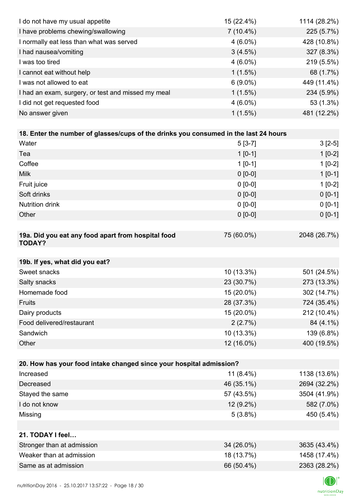| I do not have my usual appetite                                                      | 15 (22.4%)   | 1114 (28.2%) |
|--------------------------------------------------------------------------------------|--------------|--------------|
| I have problems chewing/swallowing                                                   | $7(10.4\%)$  | 225 (5.7%)   |
| I normally eat less than what was served                                             | $4(6.0\%)$   | 428 (10.8%)  |
| I had nausea/vomiting                                                                | 3(4.5%)      | 327 (8.3%)   |
| I was too tired                                                                      | $4(6.0\%)$   | 219 (5.5%)   |
| I cannot eat without help                                                            | $1(1.5\%)$   | 68 (1.7%)    |
| I was not allowed to eat                                                             | $6(9.0\%)$   | 449 (11.4%)  |
| I had an exam, surgery, or test and missed my meal                                   | $1(1.5\%)$   | 234 (5.9%)   |
| I did not get requested food                                                         | $4(6.0\%)$   | 53 (1.3%)    |
| No answer given                                                                      | $1(1.5\%)$   | 481 (12.2%)  |
|                                                                                      |              |              |
| 18. Enter the number of glasses/cups of the drinks you consumed in the last 24 hours |              |              |
| Water                                                                                | $5[3-7]$     | $3[2-5]$     |
| Tea                                                                                  | $1 [0-1]$    | $1[0-2]$     |
| Coffee                                                                               | $1 [0-1]$    | $1[0-2]$     |
| <b>Milk</b>                                                                          | $0 [0-0]$    | $1[0-1]$     |
| Fruit juice                                                                          | $0 [0-0]$    | $1[0-2]$     |
| Soft drinks                                                                          | $0 [0-0]$    | $0[0-1]$     |
| <b>Nutrition drink</b>                                                               | $0 [0-0]$    | $0 [0-1]$    |
| Other                                                                                | $0 [0-0]$    | $0 [0-1]$    |
|                                                                                      |              |              |
| 19a. Did you eat any food apart from hospital food<br><b>TODAY?</b>                  | 75 (60.0%)   | 2048 (26.7%) |
|                                                                                      |              |              |
| 19b. If yes, what did you eat?                                                       |              |              |
| Sweet snacks                                                                         | 10 (13.3%)   | 501 (24.5%)  |
| Salty snacks<br>Homemade food                                                        | 23 (30.7%)   | 273 (13.3%)  |
| Fruits                                                                               | 15 (20.0%)   | 302 (14.7%)  |
|                                                                                      | 28 (37.3%)   | 724 (35.4%)  |
| Dairy products<br>Food delivered/restaurant                                          | 15 (20.0%)   | 212 (10.4%)  |
|                                                                                      | 2(2.7%)      | 84 (4.1%)    |
| Sandwich                                                                             | 10 (13.3%)   | 139 (6.8%)   |
| Other                                                                                | 12 (16.0%)   | 400 (19.5%)  |
| 20. How has your food intake changed since your hospital admission?                  |              |              |
| Increased                                                                            | 11 $(8.4\%)$ | 1138 (13.6%) |
| Decreased                                                                            | 46 (35.1%)   | 2694 (32.2%) |
| Stayed the same                                                                      | 57 (43.5%)   | 3504 (41.9%) |
| I do not know                                                                        | 12 (9.2%)    | 582 (7.0%)   |
|                                                                                      | $5(3.8\%)$   | 450 (5.4%)   |
| Missing                                                                              |              |              |
| 21. TODAY I feel                                                                     |              |              |
| Stronger than at admission                                                           | 34 (26.0%)   | 3635 (43.4%) |
| Weaker than at admission                                                             | 18 (13.7%)   | 1458 (17.4%) |
| Same as at admission                                                                 | 66 (50.4%)   | 2363 (28.2%) |
|                                                                                      |              |              |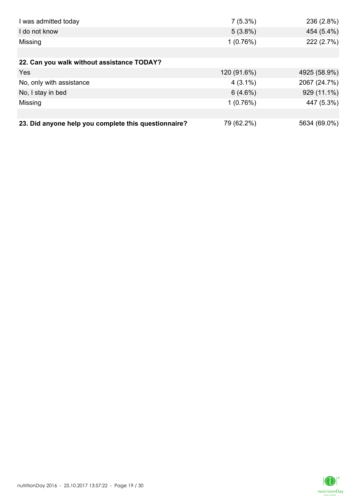| I was admitted today                                 | $7(5.3\%)$  | 236 (2.8%)   |
|------------------------------------------------------|-------------|--------------|
| I do not know                                        | $5(3.8\%)$  | 454 (5.4%)   |
| Missing                                              | 1(0.76%)    | 222 (2.7%)   |
|                                                      |             |              |
| 22. Can you walk without assistance TODAY?           |             |              |
| Yes                                                  | 120 (91.6%) | 4925 (58.9%) |
| No, only with assistance                             | $4(3.1\%)$  | 2067 (24.7%) |
| No, I stay in bed                                    | 6(4.6%)     | 929 (11.1%)  |
| Missing                                              | 1(0.76%)    | 447 (5.3%)   |
|                                                      |             |              |
| 23. Did anyone help you complete this questionnaire? | 79 (62.2%)  | 5634 (69.0%) |

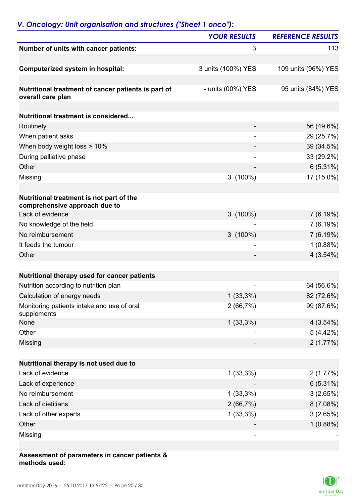|                                                                           | <b>YOUR RESULTS</b>      | <b>REFERENCE RESULTS</b> |
|---------------------------------------------------------------------------|--------------------------|--------------------------|
| Number of units with cancer patients:                                     | 3                        | 113                      |
| <b>Computerized system in hospital:</b>                                   | 3 units (100%) YES       | 109 units (96%) YES      |
|                                                                           |                          |                          |
| Nutritional treatment of cancer patients is part of<br>overall care plan  | - units (00%) YES        | 95 units (84%) YES       |
|                                                                           |                          |                          |
| Nutritional treatment is considered                                       |                          |                          |
| Routinely                                                                 |                          | 56 (49.6%)               |
| When patient asks                                                         | $\overline{\phantom{a}}$ | 29 (25.7%)               |
| When body weight loss > 10%                                               |                          | 39 (34.5%)               |
| During palliative phase                                                   | $\overline{\phantom{0}}$ | 33 (29.2%)               |
| Other                                                                     |                          | 6(5.31%)                 |
| Missing                                                                   | $3(100\%)$               | 17 (15.0%)               |
| Nutritional treatment is not part of the<br>comprehensive approach due to |                          |                          |
| Lack of evidence                                                          | $3(100\%)$               | 7(6.19%)                 |
| No knowledge of the field                                                 |                          | 7(6.19%)                 |
| No reimbursement                                                          | $3(100\%)$               | 7(6.19%)                 |
| It feeds the tumour                                                       |                          | 1(0.88%)                 |
| Other                                                                     |                          | 4(3.54%)                 |
|                                                                           |                          |                          |
| Nutritional therapy used for cancer patients                              |                          |                          |
| Nutrition according to nutrition plan                                     |                          | 64 (56.6%)               |
| Calculation of energy needs                                               | $1(33,3\%)$              | 82 (72.6%)               |
| Monitoring patients intake and use of oral<br>supplements                 | 2(66,7%)                 | 99 (87.6%)               |
| None                                                                      | $1(33,3\%)$              | 4(3.54%)                 |
| Other                                                                     |                          | 5(4.42%)                 |
| Missing                                                                   |                          | 2(1.77%)                 |
| Nutritional therapy is not used due to                                    |                          |                          |
| Lack of evidence                                                          | $1(33,3\%)$              | 2(1.77%)                 |
| Lack of experience                                                        |                          | 6(5.31%)                 |
| No reimbursement                                                          | $1(33,3\%)$              | 3(2.65%)                 |
| Lack of dietitians                                                        | 2(66,7%)                 | 8(7.08%)                 |
| Lack of other experts                                                     | $1(33,3\%)$              | 3(2.65%)                 |
| Other                                                                     |                          | 1(0.88%)                 |
| Missing                                                                   |                          |                          |

### **Assessment of parameters in cancer patients & methods used:**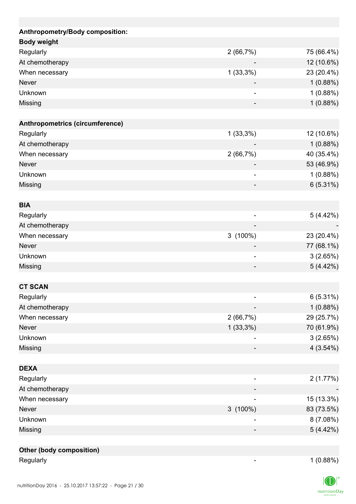| Anthropometry/Body composition: |                          |             |
|---------------------------------|--------------------------|-------------|
| <b>Body weight</b>              |                          |             |
| Regularly                       | 2(66,7%)                 | 75 (66.4%)  |
| At chemotherapy                 |                          | 12 (10.6%)  |
| When necessary                  | $1(33,3\%)$              | 23 (20.4%)  |
| <b>Never</b>                    |                          | 1(0.88%)    |
| Unknown                         |                          | 1(0.88%)    |
| Missing                         |                          | 1(0.88%)    |
| Anthropometrics (circumference) |                          |             |
| Regularly                       | $1(33,3\%)$              | 12 (10.6%)  |
| At chemotherapy                 |                          | 1(0.88%)    |
| When necessary                  | 2(66,7%)                 | 40 (35.4%)  |
| <b>Never</b>                    |                          | 53 (46.9%)  |
| Unknown                         | $\overline{\phantom{0}}$ | 1(0.88%)    |
| Missing                         |                          | 6(5.31%)    |
| <b>BIA</b>                      |                          |             |
| Regularly                       |                          | 5(4.42%)    |
| At chemotherapy                 |                          |             |
| When necessary                  | 3 (100%)                 | 23 (20.4%)  |
| <b>Never</b>                    |                          | 77 (68.1%)  |
| Unknown                         |                          | 3(2.65%)    |
| Missing                         |                          | 5(4.42%)    |
|                                 |                          |             |
| <b>CT SCAN</b>                  |                          |             |
| Regularly                       |                          | $6(5.31\%)$ |
| At chemotherapy                 |                          | 1(0.88%)    |
| When necessary                  | 2(66,7%)                 | 29 (25.7%)  |
| Never                           | $1(33,3\%)$              | 70 (61.9%)  |
| Unknown                         |                          | 3(2.65%)    |
| Missing                         |                          | 4(3.54%)    |
| <b>DEXA</b>                     |                          |             |
| Regularly                       | $\overline{\phantom{0}}$ | 2(1.77%)    |
| At chemotherapy                 |                          |             |
| When necessary                  |                          | 15 (13.3%)  |
| Never                           | $3(100\%)$               | 83 (73.5%)  |
| Unknown                         |                          | 8(7.08%)    |
| Missing                         |                          | 5(4.42%)    |
| <b>Other (body composition)</b> |                          |             |
| Regularly                       |                          | 1(0.88%)    |
|                                 |                          |             |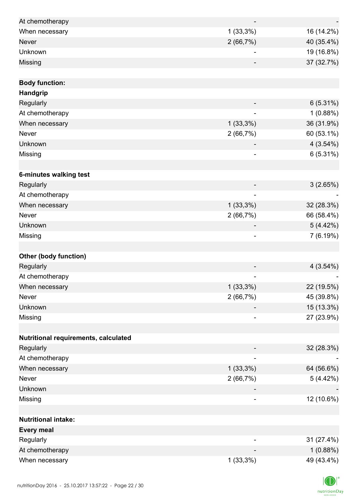| At chemotherapy                      |                          |             |
|--------------------------------------|--------------------------|-------------|
| When necessary                       | $1(33,3\%)$              | 16 (14.2%)  |
| <b>Never</b>                         | 2(66,7%)                 | 40 (35.4%)  |
| Unknown                              |                          | 19 (16.8%)  |
| Missing                              |                          | 37 (32.7%)  |
|                                      |                          |             |
| <b>Body function:</b>                |                          |             |
| Handgrip                             |                          |             |
| Regularly                            |                          | 6(5.31%)    |
| At chemotherapy                      | $\overline{a}$           | 1(0.88%)    |
| When necessary                       | $1(33,3\%)$              | 36 (31.9%)  |
| Never                                | 2(66,7%)                 | 60 (53.1%)  |
| Unknown                              |                          | 4(3.54%)    |
| Missing                              |                          | $6(5.31\%)$ |
|                                      |                          |             |
| 6-minutes walking test               |                          |             |
| Regularly                            |                          | 3(2.65%)    |
| At chemotherapy                      | $\overline{\phantom{a}}$ |             |
| When necessary                       | $1(33,3\%)$              | 32 (28.3%)  |
| Never                                | 2(66,7%)                 | 66 (58.4%)  |
| Unknown                              |                          | 5(4.42%)    |
| Missing                              |                          | 7 (6.19%)   |
|                                      |                          |             |
| <b>Other (body function)</b>         |                          |             |
| Regularly                            |                          | 4(3.54%)    |
| At chemotherapy                      |                          |             |
| When necessary                       | $1(33,3\%)$              | 22 (19.5%)  |
| <b>Never</b>                         | 2(66,7%)                 | 45 (39.8%)  |
| Unknown                              |                          | 15 (13.3%)  |
| Missing                              | $\overline{\phantom{a}}$ | 27 (23.9%)  |
|                                      |                          |             |
| Nutritional requirements, calculated |                          |             |
| Regularly                            |                          | 32 (28.3%)  |
| At chemotherapy                      |                          |             |
| When necessary                       | $1(33,3\%)$              | 64 (56.6%)  |
| Never                                | 2(66,7%)                 | 5(4.42%)    |
| Unknown                              |                          |             |
| Missing                              |                          | 12 (10.6%)  |
|                                      |                          |             |
| <b>Nutritional intake:</b>           |                          |             |
| <b>Every meal</b>                    |                          |             |
| Regularly                            |                          | 31 (27.4%)  |
| At chemotherapy                      |                          | 1(0.88%)    |
| When necessary                       | $1(33,3\%)$              | 49 (43.4%)  |

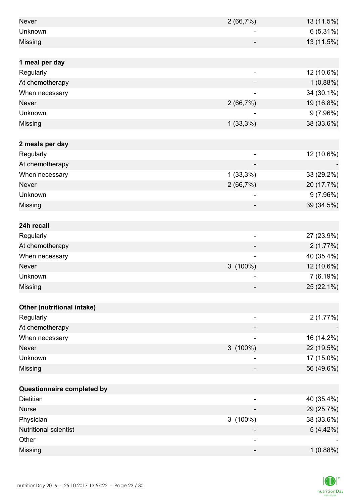| <b>Never</b>               | 2(66,7%)                 | 13 (11.5%) |
|----------------------------|--------------------------|------------|
| Unknown                    |                          | 6(5.31%)   |
| Missing                    |                          | 13 (11.5%) |
|                            |                          |            |
| 1 meal per day             |                          |            |
| Regularly                  |                          | 12 (10.6%) |
| At chemotherapy            |                          | 1(0.88%)   |
| When necessary             |                          | 34 (30.1%) |
| <b>Never</b>               | 2(66,7%)                 | 19 (16.8%) |
| Unknown                    |                          | 9(7.96%)   |
| Missing                    | $1(33,3\%)$              | 38 (33.6%) |
|                            |                          |            |
| 2 meals per day            |                          |            |
| Regularly                  |                          | 12 (10.6%) |
| At chemotherapy            |                          |            |
| When necessary             | $1(33,3\%)$              | 33 (29.2%) |
| <b>Never</b>               | 2(66,7%)                 | 20 (17.7%) |
| Unknown                    |                          | 9(7.96%)   |
| Missing                    |                          | 39 (34.5%) |
|                            |                          |            |
| 24h recall                 |                          |            |
| Regularly                  | $\overline{\phantom{0}}$ | 27 (23.9%) |
| At chemotherapy            |                          | 2(1.77%)   |
| When necessary             |                          | 40 (35.4%) |
| <b>Never</b>               | $3(100\%)$               | 12 (10.6%) |
| Unknown                    |                          | 7(6.19%)   |
| Missing                    |                          | 25 (22.1%) |
|                            |                          |            |
| Other (nutritional intake) |                          |            |
| Regularly                  |                          | 2(1.77%)   |
| At chemotherapy            |                          |            |
| When necessary             |                          | 16 (14.2%) |
| Never                      | $3(100\%)$               | 22 (19.5%) |
| Unknown                    |                          | 17 (15.0%) |
| Missing                    |                          | 56 (49.6%) |
|                            |                          |            |
| Questionnaire completed by |                          |            |
| <b>Dietitian</b>           |                          | 40 (35.4%) |
| <b>Nurse</b>               |                          | 29 (25.7%) |
| Physician                  | $3(100\%)$               | 38 (33.6%) |
| Nutritional scientist      |                          | 5(4.42%)   |
| Other                      |                          |            |
| Missing                    | -                        | 1(0.88%)   |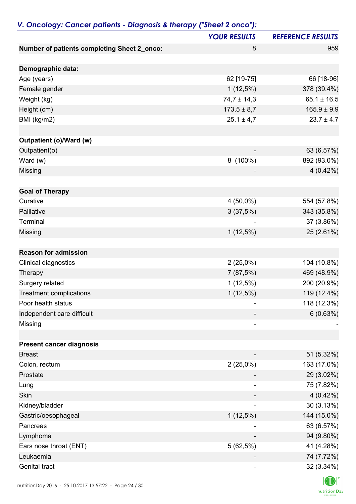|                                             | <b>YOUR RESULTS</b> | <b>REFERENCE RESULTS</b> |
|---------------------------------------------|---------------------|--------------------------|
| Number of patients completing Sheet 2_onco: | 8                   | 959                      |
| Demographic data:                           |                     |                          |
| Age (years)                                 | 62 [19-75]          | 66 [18-96]               |
| Female gender                               | $1(12,5\%)$         | 378 (39.4%)              |
| Weight (kg)                                 | $74,7 \pm 14,3$     | $65.1 \pm 16.5$          |
| Height (cm)                                 | $173,5 \pm 8,7$     | $165.9 \pm 9.9$          |
| BMI (kg/m2)                                 | $25,1 \pm 4,7$      | $23.7 \pm 4.7$           |
|                                             |                     |                          |
| <b>Outpatient (o)/Ward (w)</b>              |                     |                          |
| Outpatient(o)                               |                     | 63 (6.57%)               |
| Ward (w)                                    | 8 (100%)            | 892 (93.0%)              |
| Missing                                     |                     | $4(0.42\%)$              |
| <b>Goal of Therapy</b>                      |                     |                          |
| Curative                                    | 4 (50,0%)           | 554 (57.8%)              |
| Palliative                                  | 3(37,5%)            | 343 (35.8%)              |
| Terminal                                    |                     | 37 (3.86%)               |
| Missing                                     | $1(12,5\%)$         | 25 (2.61%)               |
|                                             |                     |                          |
| <b>Reason for admission</b>                 |                     |                          |
| Clinical diagnostics                        | $2(25,0\%)$         | 104 (10.8%)              |
| Therapy                                     | 7(87,5%)            | 469 (48.9%)              |
| Surgery related                             | $1(12,5\%)$         | 200 (20.9%)              |
| <b>Treatment complications</b>              | $1(12,5\%)$         | 119 (12.4%)              |
| Poor health status                          |                     | 118 (12.3%)              |
| Independent care difficult                  |                     | 6(0.63%)                 |
| Missing                                     | ۰                   |                          |
|                                             |                     |                          |
| <b>Present cancer diagnosis</b>             |                     |                          |
| <b>Breast</b>                               |                     | 51 (5.32%)               |
| Colon, rectum                               | $2(25,0\%)$         | 163 (17.0%)              |
| Prostate                                    |                     | 29 (3.02%)               |
| Lung                                        |                     | 75 (7.82%)               |
| Skin                                        |                     | 4 (0.42%)                |
| Kidney/bladder                              |                     | 30(3.13%)                |
| Gastric/oesophageal                         | $1(12,5\%)$         | 144 (15.0%)              |
| Pancreas                                    |                     | 63 (6.57%)               |
| Lymphoma                                    |                     | 94 (9.80%)               |
| Ears nose throat (ENT)                      | 5(62,5%)            | 41 (4.28%)               |
| Leukaemia                                   |                     | 74 (7.72%)               |
| Genital tract                               |                     | 32 (3.34%)               |

## *V. Oncology: Cancer patients - Diagnosis & therapy ("Sheet 2 onco"):*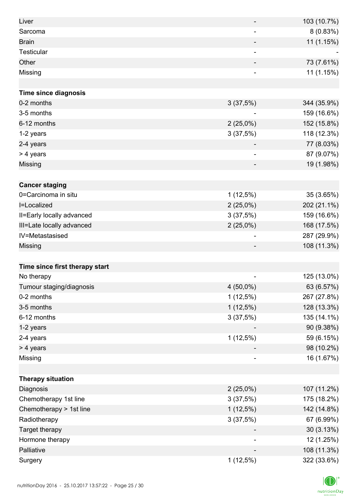| Liver                          |                          | 103 (10.7%) |
|--------------------------------|--------------------------|-------------|
| Sarcoma                        | -                        | 8(0.83%)    |
| <b>Brain</b>                   |                          | 11 (1.15%)  |
| Testicular                     |                          |             |
| Other                          |                          | 73 (7.61%)  |
| Missing                        |                          | 11 (1.15%)  |
|                                |                          |             |
| <b>Time since diagnosis</b>    |                          |             |
| 0-2 months                     | 3(37,5%)                 | 344 (35.9%) |
| 3-5 months                     |                          | 159 (16.6%) |
| 6-12 months                    | $2(25,0\%)$              | 152 (15.8%) |
| 1-2 years                      | 3(37,5%)                 | 118 (12.3%) |
| 2-4 years                      |                          | 77 (8.03%)  |
| > 4 years                      | $\overline{\phantom{a}}$ | 87 (9.07%)  |
| Missing                        |                          | 19 (1.98%)  |
|                                |                          |             |
| <b>Cancer staging</b>          |                          |             |
| 0=Carcinoma in situ            | $1(12,5\%)$              | 35 (3.65%)  |
| I=Localized                    | $2(25,0\%)$              | 202 (21.1%) |
| II=Early locally advanced      | 3(37,5%)                 | 159 (16.6%) |
| III=Late locally advanced      | $2(25,0\%)$              | 168 (17.5%) |
| IV=Metastasised                |                          | 287 (29.9%) |
| Missing                        |                          | 108 (11.3%) |
|                                |                          |             |
| Time since first therapy start |                          |             |
| No therapy                     | $\overline{\phantom{a}}$ | 125 (13.0%) |
| Tumour staging/diagnosis       | 4 (50,0%)                | 63 (6.57%)  |
| 0-2 months                     | $1(12,5\%)$              | 267 (27.8%) |
| 3-5 months                     | $1(12,5\%)$              | 128 (13.3%) |
| 6-12 months                    | 3(37,5%)                 | 135 (14.1%) |
| 1-2 years                      |                          | 90 (9.38%)  |
| 2-4 years                      | $1(12,5\%)$              | 59 (6.15%)  |
| > 4 years                      |                          | 98 (10.2%)  |
| Missing                        | ٠                        | 16 (1.67%)  |
|                                |                          |             |
| <b>Therapy situation</b>       |                          |             |
| Diagnosis                      | $2(25,0\%)$              | 107 (11.2%) |
| Chemotherapy 1st line          | 3(37,5%)                 | 175 (18.2%) |
| Chemotherapy > 1st line        | $1(12,5\%)$              | 142 (14.8%) |
| Radiotherapy                   | 3(37,5%)                 | 67 (6.99%)  |
| Target therapy                 |                          | 30 (3.13%)  |
| Hormone therapy                |                          | 12 (1.25%)  |
| Palliative                     |                          | 108 (11.3%) |
| Surgery                        | $1(12,5\%)$              | 322 (33.6%) |

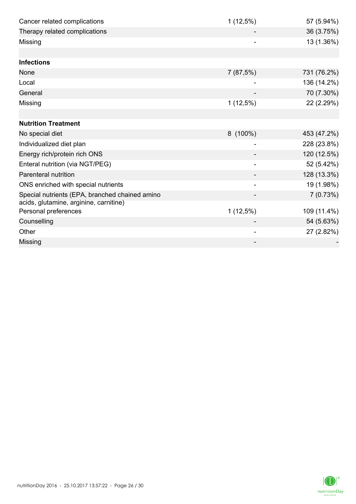| Cancer related complications                   | $1(12,5\%)$ | 57 (5.94%)  |
|------------------------------------------------|-------------|-------------|
| Therapy related complications                  |             | 36 (3.75%)  |
| Missing                                        |             | 13 (1.36%)  |
|                                                |             |             |
| <b>Infections</b>                              |             |             |
| None                                           | 7(87,5%)    | 731 (76.2%) |
| Local                                          |             | 136 (14.2%) |
| General                                        |             | 70 (7.30%)  |
| Missing                                        | $1(12,5\%)$ | 22 (2.29%)  |
|                                                |             |             |
| <b>Nutrition Treatment</b>                     |             |             |
| No special diet                                | $8(100\%)$  | 453 (47.2%) |
| Individualized diet plan                       |             | 228 (23.8%) |
| Energy rich/protein rich ONS                   |             | 120 (12.5%) |
| Enteral nutrition (via NGT/PEG)                |             | 52 (5.42%)  |
| <b>Parenteral nutrition</b>                    |             | 128 (13.3%) |
| ONS enriched with special nutrients            |             | 19 (1.98%)  |
| Special nutrients (EPA, branched chained amino |             | 7(0.73%)    |
| acids, glutamine, arginine, carnitine)         |             |             |
| Personal preferences                           | 1(12,5%)    | 109 (11.4%) |
| Counselling                                    |             | 54 (5.63%)  |
| Other                                          |             | 27 (2.82%)  |
| Missing                                        |             |             |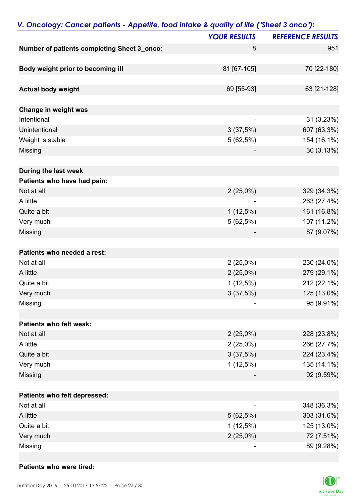|                                             | <b>YOUR RESULTS</b> | <b>REFERENCE RESULTS</b> |
|---------------------------------------------|---------------------|--------------------------|
| Number of patients completing Sheet 3_onco: | 8                   | 951                      |
| Body weight prior to becoming ill           | 81 [67-105]         | 70 [22-180]              |
| <b>Actual body weight</b>                   | 69 [55-93]          | 63 [21-128]              |
| Change in weight was                        |                     |                          |
| Intentional                                 | ٠                   | 31 (3.23%)               |
| Unintentional                               | 3(37,5%)            | 607 (63.3%)              |
| Weight is stable                            | $5(62,5\%)$         | 154 (16.1%)              |
| Missing                                     |                     | 30 (3.13%)               |
| During the last week                        |                     |                          |
| Patients who have had pain:                 |                     |                          |
| Not at all                                  | $2(25,0\%)$         | 329 (34.3%)              |
| A little                                    |                     | 263 (27.4%)              |
| Quite a bit                                 | $1(12,5\%)$         | 161 (16.8%)              |
| Very much                                   | 5(62,5%)            | 107 (11.2%)              |
| Missing                                     |                     | 87 (9.07%)               |
| Patients who needed a rest:                 |                     |                          |
| Not at all                                  | 2(25,0%)            | 230 (24.0%)              |
| A little                                    | $2(25,0\%)$         | 279 (29.1%)              |
| Quite a bit                                 | $1(12,5\%)$         | 212 (22.1%)              |
| Very much                                   | 3(37,5%)            | 125 (13.0%)              |
| Missing                                     |                     | 95 (9.91%)               |
| Patients who felt weak:                     |                     |                          |
| Not at all                                  | 2(25,0%)            | 228 (23.8%)              |
| A little                                    | 2(25,0%)            | 266 (27.7%)              |
| Quite a bit                                 | 3(37,5%)            | 224 (23.4%)              |
| Very much                                   | $1(12,5\%)$         | 135 (14.1%)              |
| Missing                                     |                     | 92 (9.59%)               |
| Patients who felt depressed:                |                     |                          |
| Not at all                                  |                     | 348 (36.3%)              |
| A little                                    | 5(62,5%)            | 303 (31.6%)              |
| Quite a bit                                 | $1(12,5\%)$         | 125 (13.0%)              |
| Very much                                   | $2(25,0\%)$         | 72 (7.51%)               |
| Missing                                     |                     | 89 (9.28%)               |

#### *V. Oncology: Cancer patients - Appetite, food intake & quality of life ("Sheet 3 onco"):*

### **Patients who were tired:**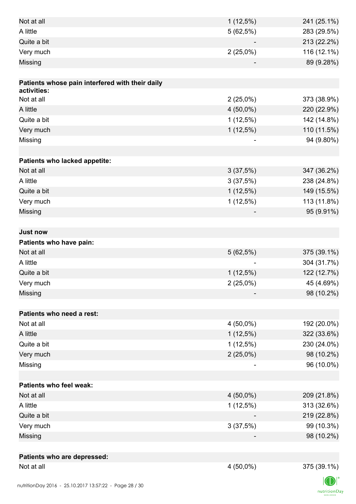| Not at all                                      | $1(12,5\%)$    | 241 (25.1%)              |
|-------------------------------------------------|----------------|--------------------------|
| A little                                        | 5(62,5%)       | 283 (29.5%)              |
| Quite a bit                                     |                | 213 (22.2%)              |
| Very much                                       | $2(25,0\%)$    | 116 (12.1%)              |
| Missing                                         |                | 89 (9.28%)               |
|                                                 |                |                          |
| Patients whose pain interfered with their daily |                |                          |
| activities:                                     |                |                          |
| Not at all                                      | $2(25,0\%)$    | 373 (38.9%)              |
| A little                                        | $4(50,0\%)$    | 220 (22.9%)              |
| Quite a bit                                     | $1(12,5\%)$    | 142 (14.8%)              |
| Very much                                       | $1(12,5\%)$    | 110 (11.5%)              |
| Missing                                         | $\overline{a}$ | 94 (9.80%)               |
|                                                 |                |                          |
| Patients who lacked appetite:<br>Not at all     |                |                          |
|                                                 | 3(37,5%)       | 347 (36.2%)              |
| A little                                        | 3(37,5%)       | 238 (24.8%)              |
| Quite a bit                                     | $1(12,5\%)$    | 149 (15.5%)              |
| Very much                                       | $1(12,5\%)$    | 113 (11.8%)              |
| Missing                                         |                | 95 (9.91%)               |
| <b>Just now</b>                                 |                |                          |
| Patients who have pain:                         |                |                          |
| Not at all                                      | 5(62,5%)       | 375 (39.1%)              |
| A little                                        |                | 304 (31.7%)              |
| Quite a bit                                     | $1(12,5\%)$    | 122 (12.7%)              |
| Very much                                       |                |                          |
| Missing                                         | $2(25,0\%)$    | 45 (4.69%)<br>98 (10.2%) |
|                                                 |                |                          |
| Patients who need a rest:                       |                |                          |
| Not at all                                      | $4(50,0\%)$    | 192 (20.0%)              |
| A little                                        | $1(12,5\%)$    | 322 (33.6%)              |
| Quite a bit                                     | $1(12,5\%)$    | 230 (24.0%)              |
| Very much                                       | $2(25,0\%)$    | 98 (10.2%)               |
| Missing                                         |                | 96 (10.0%)               |
|                                                 |                |                          |
| Patients who feel weak:                         |                |                          |
| Not at all                                      | $4(50,0\%)$    | 209 (21.8%)              |
| A little                                        | $1(12,5\%)$    | 313 (32.6%)              |
| Quite a bit                                     |                | 219 (22.8%)              |
| Very much                                       | 3(37,5%)       | 99 (10.3%)               |
| Missing                                         |                | 98 (10.2%)               |
|                                                 |                |                          |
| Patients who are depressed:                     |                |                          |
| Not at all                                      | $4(50,0\%)$    | 375 (39.1%)              |
|                                                 |                |                          |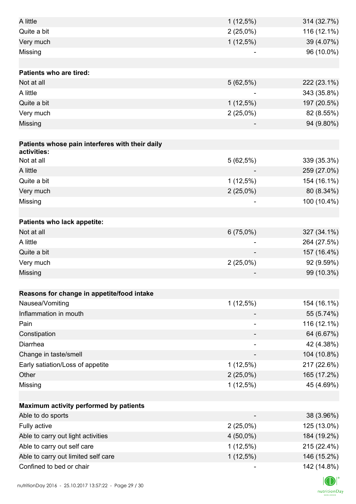| A little                                        | $1(12,5\%)$              | 314 (32.7%) |
|-------------------------------------------------|--------------------------|-------------|
| Quite a bit                                     | $2(25,0\%)$              | 116 (12.1%) |
| Very much                                       | $1(12,5\%)$              | 39 (4.07%)  |
| Missing                                         |                          | 96 (10.0%)  |
|                                                 |                          |             |
| Patients who are tired:                         |                          |             |
| Not at all                                      | 5(62,5%)                 | 222 (23.1%) |
| A little                                        |                          | 343 (35.8%) |
| Quite a bit                                     | $1(12,5\%)$              | 197 (20.5%) |
| Very much                                       | $2(25,0\%)$              | 82 (8.55%)  |
| Missing                                         |                          | 94 (9.80%)  |
|                                                 |                          |             |
| Patients whose pain interferes with their daily |                          |             |
| activities:                                     |                          |             |
| Not at all                                      | 5(62,5%)                 | 339 (35.3%) |
| A little                                        |                          | 259 (27.0%) |
| Quite a bit                                     | $1(12,5\%)$              | 154 (16.1%) |
| Very much                                       | $2(25,0\%)$              | 80 (8.34%)  |
| Missing                                         |                          | 100 (10.4%) |
|                                                 |                          |             |
| Patients who lack appetite:                     |                          |             |
| Not at all                                      | $6(75,0\%)$              | 327 (34.1%) |
| A little                                        |                          | 264 (27.5%) |
| Quite a bit                                     |                          | 157 (16.4%) |
| Very much                                       | $2(25,0\%)$              | 92 (9.59%)  |
| Missing                                         |                          | 99 (10.3%)  |
|                                                 |                          |             |
| Reasons for change in appetite/food intake      |                          |             |
| Nausea/Vomiting<br>Inflammation in mouth        | $1(12,5\%)$              | 154 (16.1%) |
|                                                 |                          | 55 (5.74%)  |
| Pain                                            |                          | 116 (12.1%) |
| Constipation                                    |                          | 64 (6.67%)  |
| Diarrhea                                        | $\overline{\phantom{a}}$ | 42 (4.38%)  |
| Change in taste/smell                           |                          | 104 (10.8%) |
| Early satiation/Loss of appetite                | $1(12,5\%)$              | 217 (22.6%) |
| Other                                           | $2(25,0\%)$              | 165 (17.2%) |
| Missing                                         | 1(12,5%)                 | 45 (4.69%)  |
|                                                 |                          |             |
| Maximum activity performed by patients          |                          |             |
| Able to do sports                               |                          | 38 (3.96%)  |
| Fully active                                    | $2(25,0\%)$              | 125 (13.0%) |
| Able to carry out light activities              | $4(50,0\%)$              | 184 (19.2%) |
| Able to carry out self care                     | $1(12,5\%)$              | 215 (22.4%) |
| Able to carry out limited self care             | $1(12,5\%)$              | 146 (15.2%) |
| Confined to bed or chair                        |                          | 142 (14.8%) |